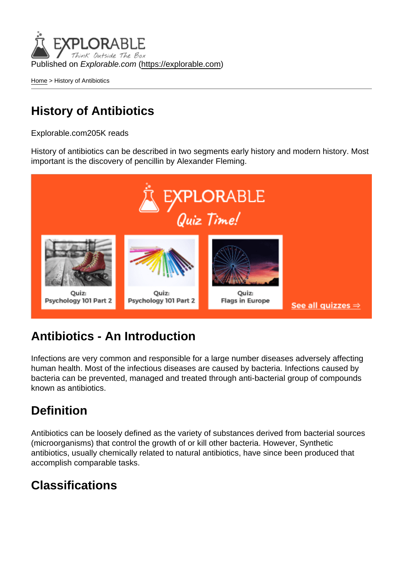Published on Explorable.com (<https://explorable.com>)

[Home](https://explorable.com/) > History of Antibiotics

## History of Antibiotics

Explorable.com205K reads

History of antibiotics can be described in two segments early history and modern history. Most important is the discovery of pencillin by Alexander Fleming.

## Antibiotics - An Introduction

Infections are very common and responsible for a large number diseases adversely affecting human health. Most of the infectious diseases are caused by bacteria. Infections caused by bacteria can be prevented, managed and treated through anti-bacterial group of compounds known as antibiotics.

## **Definition**

Antibiotics can be loosely defined as the variety of substances derived from bacterial sources (microorganisms) that control the growth of or kill other bacteria. However, Synthetic antibiotics, usually chemically related to natural antibiotics, have since been produced that accomplish comparable tasks.

## Classifications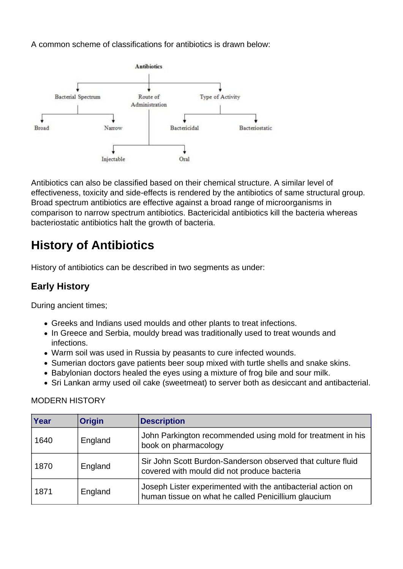A common scheme of classifications for antibiotics is drawn below:



Antibiotics can also be classified based on their chemical structure. A similar level of effectiveness, toxicity and side-effects is rendered by the antibiotics of same structural group. Broad spectrum antibiotics are effective against a broad range of microorganisms in comparison to narrow spectrum antibiotics. Bactericidal antibiotics kill the bacteria whereas bacteriostatic antibiotics halt the growth of bacteria.

# **History of Antibiotics**

History of antibiotics can be described in two segments as under:

### **Early History**

During ancient times;

- Greeks and Indians used moulds and other plants to treat infections.
- In Greece and Serbia, mouldy bread was traditionally used to treat wounds and infections.
- Warm soil was used in Russia by peasants to cure infected wounds.
- Sumerian doctors gave patients beer soup mixed with turtle shells and snake skins.
- Babylonian doctors healed the eyes using a mixture of frog bile and sour milk.
- Sri Lankan army used oil cake (sweetmeat) to server both as desiccant and antibacterial.

| Year | <b>Origin</b> | <b>Description</b>                                                                                                 |
|------|---------------|--------------------------------------------------------------------------------------------------------------------|
| 1640 | England       | John Parkington recommended using mold for treatment in his<br>book on pharmacology                                |
| 1870 | England       | Sir John Scott Burdon-Sanderson observed that culture fluid<br>covered with mould did not produce bacteria         |
| 1871 | England       | Joseph Lister experimented with the antibacterial action on<br>human tissue on what he called Penicillium glaucium |

#### MODERN HISTORY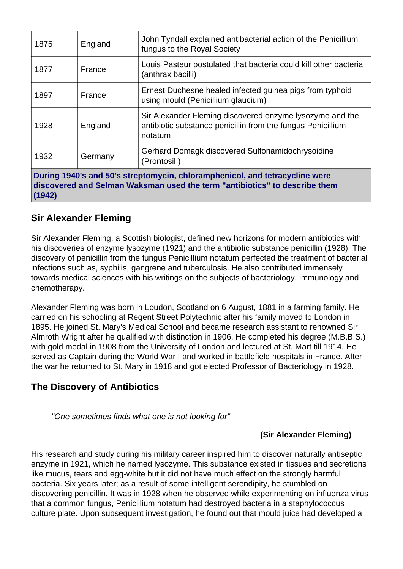| 1875                                                                                                                                                                | England | John Tyndall explained antibacterial action of the Penicillium<br>fungus to the Royal Society                                      |  |
|---------------------------------------------------------------------------------------------------------------------------------------------------------------------|---------|------------------------------------------------------------------------------------------------------------------------------------|--|
| 1877                                                                                                                                                                | France  | Louis Pasteur postulated that bacteria could kill other bacteria<br>(anthrax bacilli)                                              |  |
| 1897                                                                                                                                                                | France  | Ernest Duchesne healed infected guinea pigs from typhoid<br>using mould (Penicillium glaucium)                                     |  |
| 1928                                                                                                                                                                | England | Sir Alexander Fleming discovered enzyme lysozyme and the<br>antibiotic substance penicillin from the fungus Penicillium<br>notatum |  |
| 1932                                                                                                                                                                | Germany | Gerhard Domagk discovered Sulfonamidochrysoidine<br>(Prontosil)                                                                    |  |
| During 1940's and 50's streptomycin, chloramphenicol, and tetracycline were<br>discovered and Selman Waksman used the term "antibiotics" to describe them<br>(1942) |         |                                                                                                                                    |  |

### **Sir Alexander Fleming**

Sir Alexander Fleming, a Scottish biologist, defined new horizons for modern antibiotics with his discoveries of enzyme lysozyme (1921) and the antibiotic substance penicillin (1928). The discovery of penicillin from the fungus Penicillium notatum perfected the treatment of bacterial infections such as, syphilis, gangrene and tuberculosis. He also contributed immensely towards medical sciences with his writings on the subjects of bacteriology, immunology and chemotherapy.

Alexander Fleming was born in Loudon, Scotland on 6 August, 1881 in a farming family. He carried on his schooling at Regent Street Polytechnic after his family moved to London in 1895. He joined St. Mary's Medical School and became research assistant to renowned Sir Almroth Wright after he qualified with distinction in 1906. He completed his degree (M.B.B.S.) with gold medal in 1908 from the University of London and lectured at St. Mart till 1914. He served as Captain during the World War I and worked in battlefield hospitals in France. After the war he returned to St. Mary in 1918 and got elected Professor of Bacteriology in 1928.

### **The Discovery of Antibiotics**

"One sometimes finds what one is not looking for"

#### **(Sir Alexander Fleming)**

His research and study during his military career inspired him to discover naturally antiseptic enzyme in 1921, which he named lysozyme. This substance existed in tissues and secretions like mucus, tears and egg-white but it did not have much effect on the strongly harmful bacteria. Six years later; as a result of some intelligent serendipity, he stumbled on discovering penicillin. It was in 1928 when he observed while experimenting on influenza virus that a common fungus, Penicillium notatum had destroyed bacteria in a staphylococcus culture plate. Upon subsequent investigation, he found out that mould juice had developed a